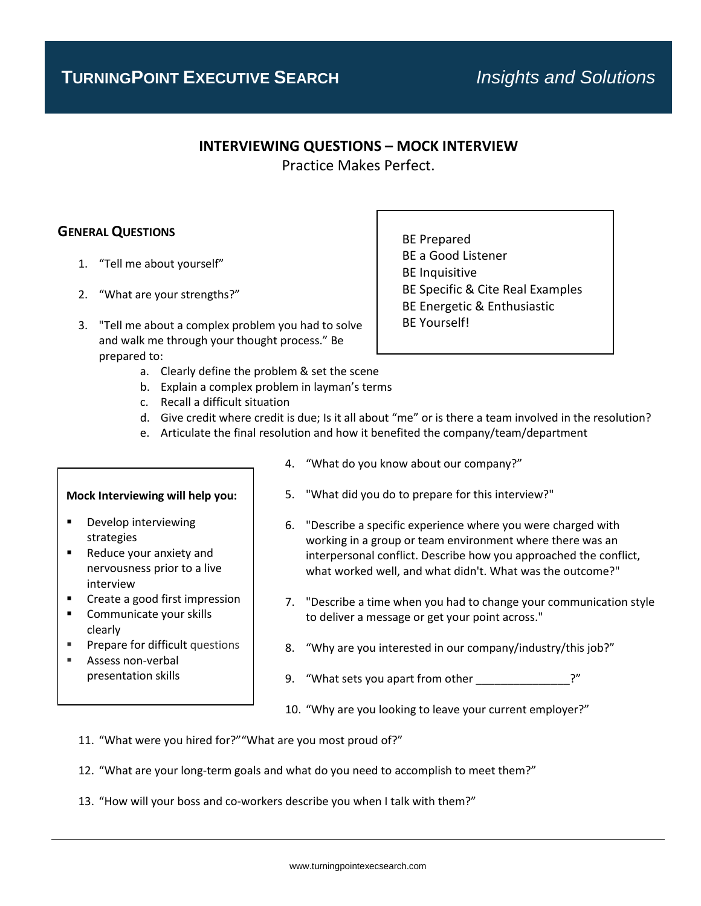# **INTERVIEWING QUESTIONS – MOCK INTERVIEW**

Practice Makes Perfect.

## **GENERAL QUESTIONS**

- 1. "Tell me about yourself"
- 2. "What are your strengths?"
- 3. "Tell me about a complex problem you had to solve and walk me through your thought process." Be prepared to:
	- a. Clearly define the problem & set the scene
	- b. Explain a complex problem in layman's terms
	- c. Recall a difficult situation
	- d. Give credit where credit is due; Is it all about "me" or is there a team involved in the resolution?
	- e. Articulate the final resolution and how it benefited the company/team/department

### **Mock Interviewing will help you:**

- Develop interviewing strategies
- Reduce your anxiety and nervousness prior to a live interview
- Create a good first impression
- Communicate your skills clearly
- Prepare for difficult questions
- Assess non-verbal presentation skills

4. "What do you know about our company?"

- 5. "What did you do to prepare for this interview?"
- 6. "Describe a specific experience where you were charged with working in a group or team environment where there was an interpersonal conflict. Describe how you approached the conflict, what worked well, and what didn't. What was the outcome?"
- 7. "Describe a time when you had to change your communication style to deliver a message or get your point across."
- 8. "Why are you interested in our company/industry/this job?"
- 9. "What sets you apart from other \_\_\_\_\_\_\_\_\_\_\_\_\_\_\_\_?"
- 10. "Why are you looking to leave your current employer?"
- 11. "What were you hired for?""What are you most proud of?"
- 12. "What are your long-term goals and what do you need to accomplish to meet them?"
- 13. "How will your boss and co-workers describe you when I talk with them?"

BE Prepared BE a Good Listener BE Inquisitive BE Specific & Cite Real Examples BE Energetic & Enthusiastic BE Yourself!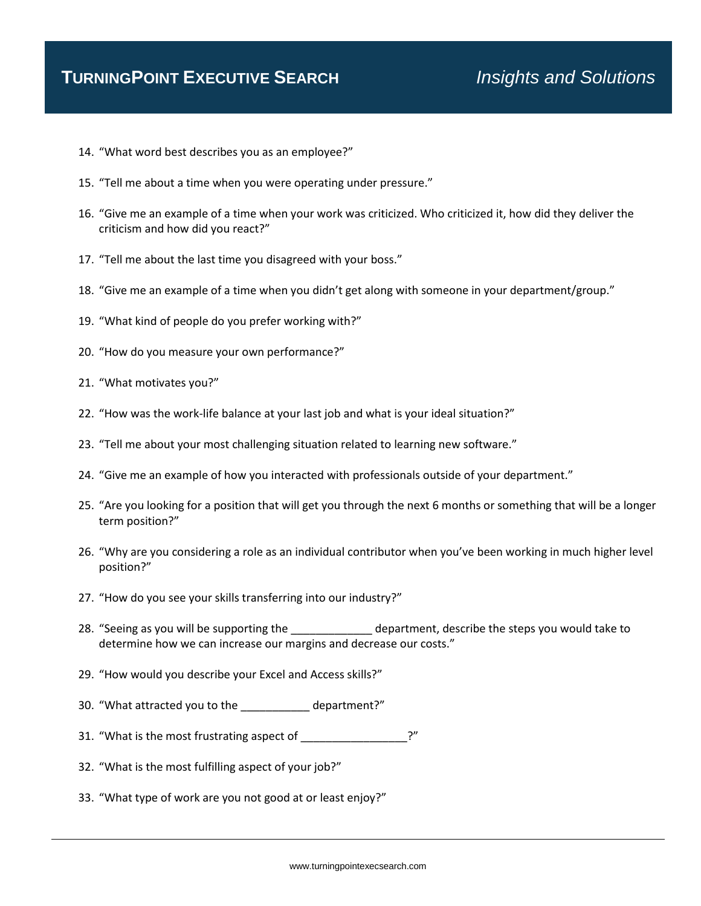- 14. "What word best describes you as an employee?"
- 15. "Tell me about a time when you were operating under pressure."
- 16. "Give me an example of a time when your work was criticized. Who criticized it, how did they deliver the criticism and how did you react?"
- 17. "Tell me about the last time you disagreed with your boss."
- 18. "Give me an example of a time when you didn't get along with someone in your department/group."
- 19. "What kind of people do you prefer working with?"
- 20. "How do you measure your own performance?"
- 21. "What motivates you?"
- 22. "How was the work-life balance at your last job and what is your ideal situation?"
- 23. "Tell me about your most challenging situation related to learning new software."
- 24. "Give me an example of how you interacted with professionals outside of your department."
- 25. "Are you looking for a position that will get you through the next 6 months or something that will be a longer term position?"
- 26. "Why are you considering a role as an individual contributor when you've been working in much higher level position?"
- 27. "How do you see your skills transferring into our industry?"
- 28. "Seeing as you will be supporting the department, describe the steps you would take to determine how we can increase our margins and decrease our costs."
- 29. "How would you describe your Excel and Access skills?"
- 30. "What attracted you to the department?"
- 31. "What is the most frustrating aspect of \_\_\_\_\_\_\_\_\_\_\_\_\_\_\_\_\_?"
- 32. "What is the most fulfilling aspect of your job?"
- 33. "What type of work are you not good at or least enjoy?"